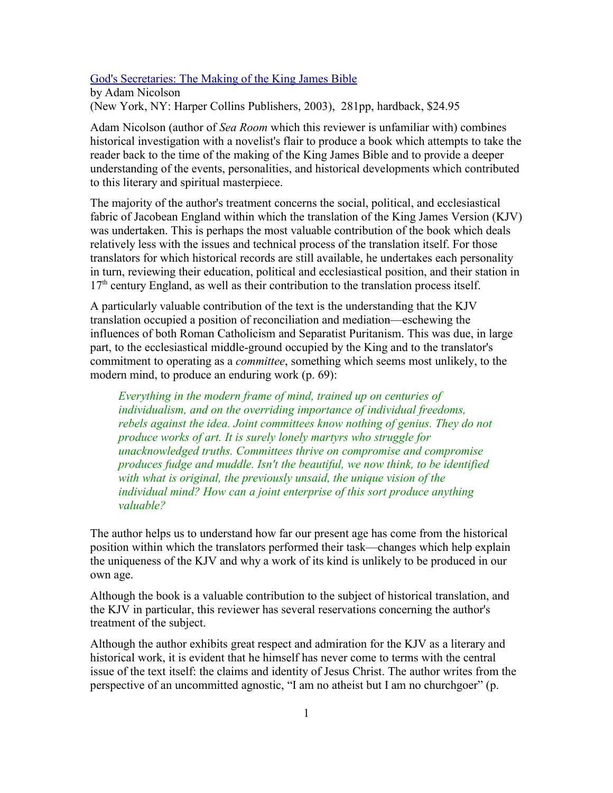## God's Secretaries: The Making of the King James Bible

by Adam Nicolson (New York, NY: Harper Collins Publishers, 2003), 281pp, hardback, \$24.95

Adam Nicolson (author of *Sea Room* which this reviewer is unfamiliar with) combines historical investigation with a novelist's flair to produce a book which attempts to take the reader back to the time of the making of the King James Bible and to provide a deeper understanding of the events, personalities, and historical developments which contributed to this literary and spiritual masterpiece.

The majority of the author's treatment concerns the social, political, and ecclesiastical fabric of Jacobean England within which the translation of the King James Version (KJV) was undertaken. This is perhaps the most valuable contribution of the book which deals relatively less with the issues and technical process of the translation itself. For those translators for which historical records are still available, he undertakes each personality in turn, reviewing their education, political and ecclesiastical position, and their station in 17<sup>th</sup> century England, as well as their contribution to the translation process itself.

A particularly valuable contribution of the text is the understanding that the KJV translation occupied a position of reconciliation and mediation—eschewing the influences of both Roman Catholicism and Separatist Puritanism. This was due, in large part, to the ecclesiastical middle-ground occupied by the King and to the translator's commitment to operating as a *committee*, something which seems most unlikely, to the modern mind, to produce an enduring work (p. 69):

*Everything in the modern frame of mind, trained up on centuries of individualism, and on the overriding importance of individual freedoms, rebels against the idea. Joint committees know nothing of genius. They do not produce works of art. It is surely lonely martyrs who struggle for unacknowledged truths. Committees thrive on compromise and compromise produces fudge and muddle. Isn't the beautiful, we now think, to be identified with what is original, the previously unsaid, the unique vision of the individual mind? How can a joint enterprise of this sort produce anything valuable?*

The author helps us to understand how far our present age has come from the historical position within which the translators performed their task—changes which help explain the uniqueness of the KJV and why a work of its kind is unlikely to be produced in our own age.

Although the book is a valuable contribution to the subject of historical translation, and the KJV in particular, this reviewer has several reservations concerning the author's treatment of the subject.

Although the author exhibits great respect and admiration for the KJV as a literary and historical work, it is evident that he himself has never come to terms with the central issue of the text itself: the claims and identity of Jesus Christ. The author writes from the perspective of an uncommitted agnostic, "I am no atheist but I am no churchgoer" (p.